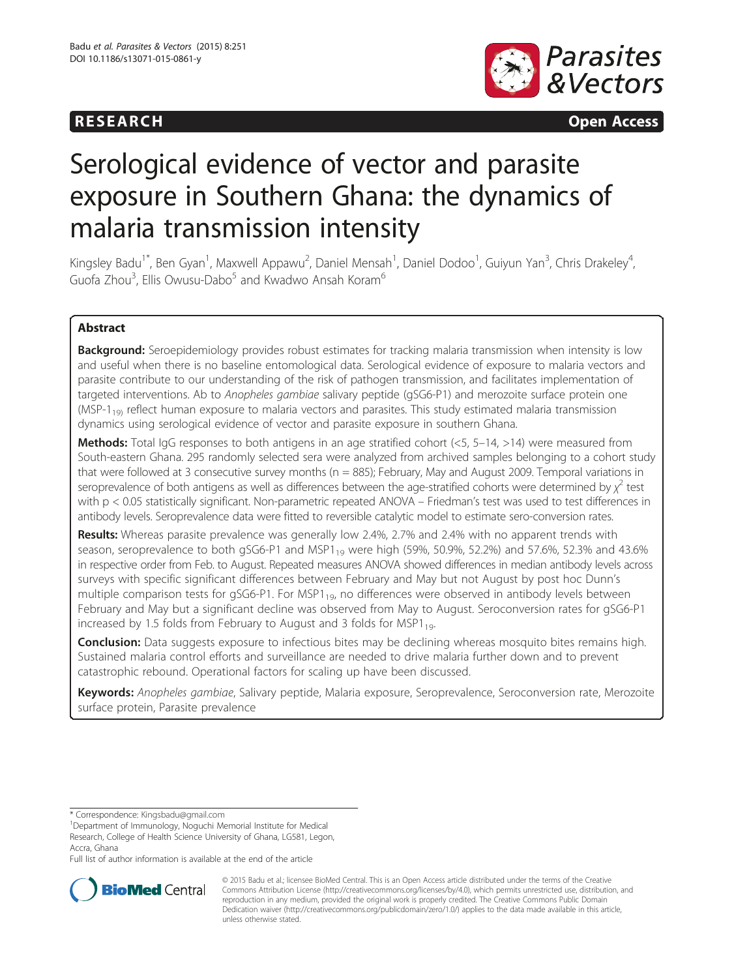## **RESEARCH RESEARCH CONSUMING ACCESS**



# Serological evidence of vector and parasite exposure in Southern Ghana: the dynamics of malaria transmission intensity

Kingsley Badu<sup>1\*</sup>, Ben Gyan<sup>1</sup>, Maxwell Appawu<sup>2</sup>, Daniel Mensah<sup>1</sup>, Daniel Dodoo<sup>1</sup>, Guiyun Yan<sup>3</sup>, Chris Drakeley<sup>4</sup> , Guofa Zhou<sup>3</sup>, Ellis Owusu-Dabo<sup>5</sup> and Kwadwo Ansah Koram<sup>6</sup>

## Abstract

**Background:** Seroepidemiology provides robust estimates for tracking malaria transmission when intensity is low and useful when there is no baseline entomological data. Serological evidence of exposure to malaria vectors and parasite contribute to our understanding of the risk of pathogen transmission, and facilitates implementation of targeted interventions. Ab to Anopheles gambiae salivary peptide (gSG6-P1) and merozoite surface protein one  $(MSP-1<sub>19</sub>)$  reflect human exposure to malaria vectors and parasites. This study estimated malaria transmission dynamics using serological evidence of vector and parasite exposure in southern Ghana.

Methods: Total IgG responses to both antigens in an age stratified cohort (<5, 5–14, >14) were measured from South-eastern Ghana. 295 randomly selected sera were analyzed from archived samples belonging to a cohort study that were followed at 3 consecutive survey months (n = 885); February, May and August 2009. Temporal variations in seroprevalence of both antigens as well as differences between the age-stratified cohorts were determined by  $\chi^2$  test with p < 0.05 statistically significant. Non-parametric repeated ANOVA – Friedman's test was used to test differences in antibody levels. Seroprevalence data were fitted to reversible catalytic model to estimate sero-conversion rates.

Results: Whereas parasite prevalence was generally low 2.4%, 2.7% and 2.4% with no apparent trends with season, seroprevalence to both gSG6-P1 and MSP1<sub>19</sub> were high (59%, 50.9%, 52.2%) and 57.6%, 52.3% and 43.6% in respective order from Feb. to August. Repeated measures ANOVA showed differences in median antibody levels across surveys with specific significant differences between February and May but not August by post hoc Dunn's multiple comparison tests for gSG6-P1. For MSP1 $_{19}$ , no differences were observed in antibody levels between February and May but a significant decline was observed from May to August. Seroconversion rates for gSG6-P1 increased by 1.5 folds from February to August and 3 folds for MSP1<sub>19</sub>.

**Conclusion:** Data suggests exposure to infectious bites may be declining whereas mosquito bites remains high. Sustained malaria control efforts and surveillance are needed to drive malaria further down and to prevent catastrophic rebound. Operational factors for scaling up have been discussed.

Keywords: Anopheles gambiae, Salivary peptide, Malaria exposure, Seroprevalence, Seroconversion rate, Merozoite surface protein, Parasite prevalence

\* Correspondence: [Kingsbadu@gmail.com](mailto:Kingsbadu@gmail.com) <sup>1</sup>

Department of Immunology, Noguchi Memorial Institute for Medical Research, College of Health Science University of Ghana, LG581, Legon, Accra, Ghana

Full list of author information is available at the end of the article



© 2015 Badu et al.; licensee BioMed Central. This is an Open Access article distributed under the terms of the Creative Commons Attribution License [\(http://creativecommons.org/licenses/by/4.0\)](http://creativecommons.org/licenses/by/4.0), which permits unrestricted use, distribution, and reproduction in any medium, provided the original work is properly credited. The Creative Commons Public Domain Dedication waiver [\(http://creativecommons.org/publicdomain/zero/1.0/](http://creativecommons.org/publicdomain/zero/1.0/)) applies to the data made available in this article, unless otherwise stated.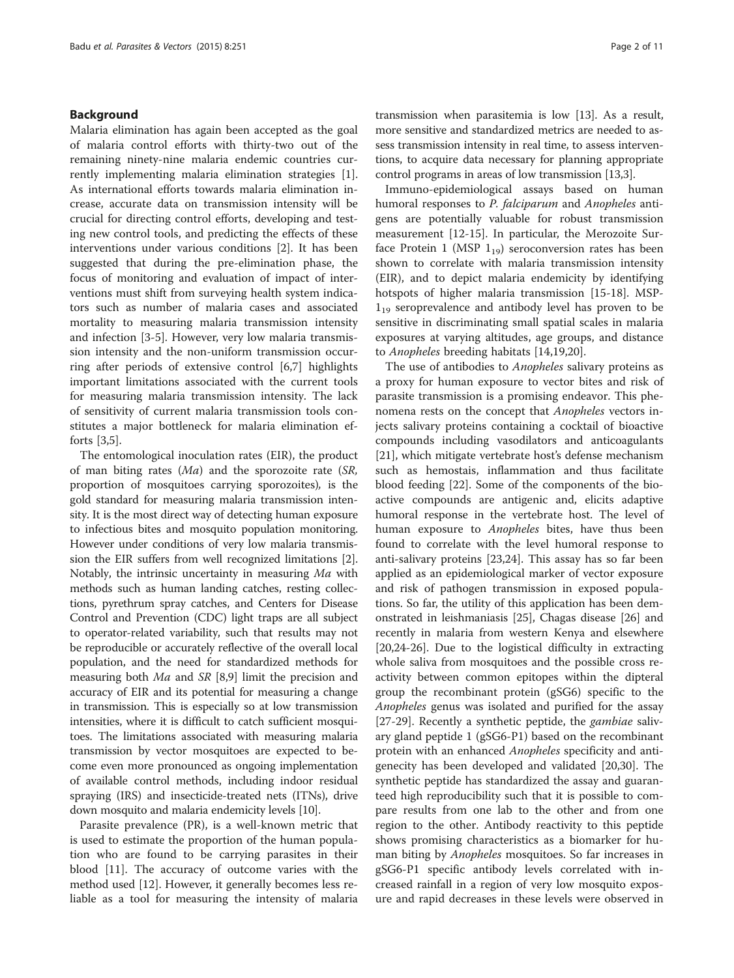#### Background

Malaria elimination has again been accepted as the goal of malaria control efforts with thirty-two out of the remaining ninety-nine malaria endemic countries currently implementing malaria elimination strategies [\[1](#page-9-0)]. As international efforts towards malaria elimination increase, accurate data on transmission intensity will be crucial for directing control efforts, developing and testing new control tools, and predicting the effects of these interventions under various conditions [[2\]](#page-9-0). It has been suggested that during the pre-elimination phase, the focus of monitoring and evaluation of impact of interventions must shift from surveying health system indicators such as number of malaria cases and associated mortality to measuring malaria transmission intensity and infection [\[3](#page-9-0)-[5\]](#page-9-0). However, very low malaria transmission intensity and the non-uniform transmission occurring after periods of extensive control [\[6,7](#page-9-0)] highlights important limitations associated with the current tools for measuring malaria transmission intensity. The lack of sensitivity of current malaria transmission tools constitutes a major bottleneck for malaria elimination efforts [[3](#page-9-0),[5](#page-9-0)].

The entomological inoculation rates (EIR), the product of man biting rates  $(Ma)$  and the sporozoite rate  $(SR,$ proportion of mosquitoes carrying sporozoites), is the gold standard for measuring malaria transmission intensity. It is the most direct way of detecting human exposure to infectious bites and mosquito population monitoring. However under conditions of very low malaria transmission the EIR suffers from well recognized limitations [[2](#page-9-0)]. Notably, the intrinsic uncertainty in measuring Ma with methods such as human landing catches, resting collections, pyrethrum spray catches, and Centers for Disease Control and Prevention (CDC) light traps are all subject to operator-related variability, such that results may not be reproducible or accurately reflective of the overall local population, and the need for standardized methods for measuring both Ma and SR [\[8,9\]](#page-9-0) limit the precision and accuracy of EIR and its potential for measuring a change in transmission. This is especially so at low transmission intensities, where it is difficult to catch sufficient mosquitoes. The limitations associated with measuring malaria transmission by vector mosquitoes are expected to become even more pronounced as ongoing implementation of available control methods, including indoor residual spraying (IRS) and insecticide-treated nets (ITNs), drive down mosquito and malaria endemicity levels [\[10](#page-9-0)].

Parasite prevalence (PR), is a well-known metric that is used to estimate the proportion of the human population who are found to be carrying parasites in their blood [\[11](#page-9-0)]. The accuracy of outcome varies with the method used [[12\]](#page-9-0). However, it generally becomes less reliable as a tool for measuring the intensity of malaria transmission when parasitemia is low [\[13\]](#page-9-0). As a result, more sensitive and standardized metrics are needed to assess transmission intensity in real time, to assess interventions, to acquire data necessary for planning appropriate control programs in areas of low transmission [\[13,3\]](#page-9-0).

Immuno-epidemiological assays based on human humoral responses to P. falciparum and Anopheles antigens are potentially valuable for robust transmission measurement [\[12](#page-9-0)-[15\]](#page-9-0). In particular, the Merozoite Surface Protein 1 (MSP  $1_{19}$ ) seroconversion rates has been shown to correlate with malaria transmission intensity (EIR), and to depict malaria endemicity by identifying hotspots of higher malaria transmission [\[15](#page-9-0)-[18](#page-9-0)]. MSP- $1_{19}$  seroprevalence and antibody level has proven to be sensitive in discriminating small spatial scales in malaria exposures at varying altitudes, age groups, and distance to Anopheles breeding habitats [[14,19,20](#page-9-0)].

The use of antibodies to *Anopheles* salivary proteins as a proxy for human exposure to vector bites and risk of parasite transmission is a promising endeavor. This phenomena rests on the concept that Anopheles vectors injects salivary proteins containing a cocktail of bioactive compounds including vasodilators and anticoagulants [[21\]](#page-9-0), which mitigate vertebrate host's defense mechanism such as hemostais, inflammation and thus facilitate blood feeding [[22](#page-9-0)]. Some of the components of the bioactive compounds are antigenic and, elicits adaptive humoral response in the vertebrate host. The level of human exposure to Anopheles bites, have thus been found to correlate with the level humoral response to anti-salivary proteins [[23,24\]](#page-9-0). This assay has so far been applied as an epidemiological marker of vector exposure and risk of pathogen transmission in exposed populations. So far, the utility of this application has been demonstrated in leishmaniasis [\[25](#page-9-0)], Chagas disease [[26\]](#page-9-0) and recently in malaria from western Kenya and elsewhere [[20,24-26\]](#page-9-0). Due to the logistical difficulty in extracting whole saliva from mosquitoes and the possible cross reactivity between common epitopes within the dipteral group the recombinant protein (gSG6) specific to the Anopheles genus was isolated and purified for the assay [[27-29](#page-9-0)]. Recently a synthetic peptide, the *gambiae* salivary gland peptide 1 (gSG6-P1) based on the recombinant protein with an enhanced Anopheles specificity and antigenecity has been developed and validated [\[20,30\]](#page-9-0). The synthetic peptide has standardized the assay and guaranteed high reproducibility such that it is possible to compare results from one lab to the other and from one region to the other. Antibody reactivity to this peptide shows promising characteristics as a biomarker for human biting by *Anopheles* mosquitoes. So far increases in gSG6-P1 specific antibody levels correlated with increased rainfall in a region of very low mosquito exposure and rapid decreases in these levels were observed in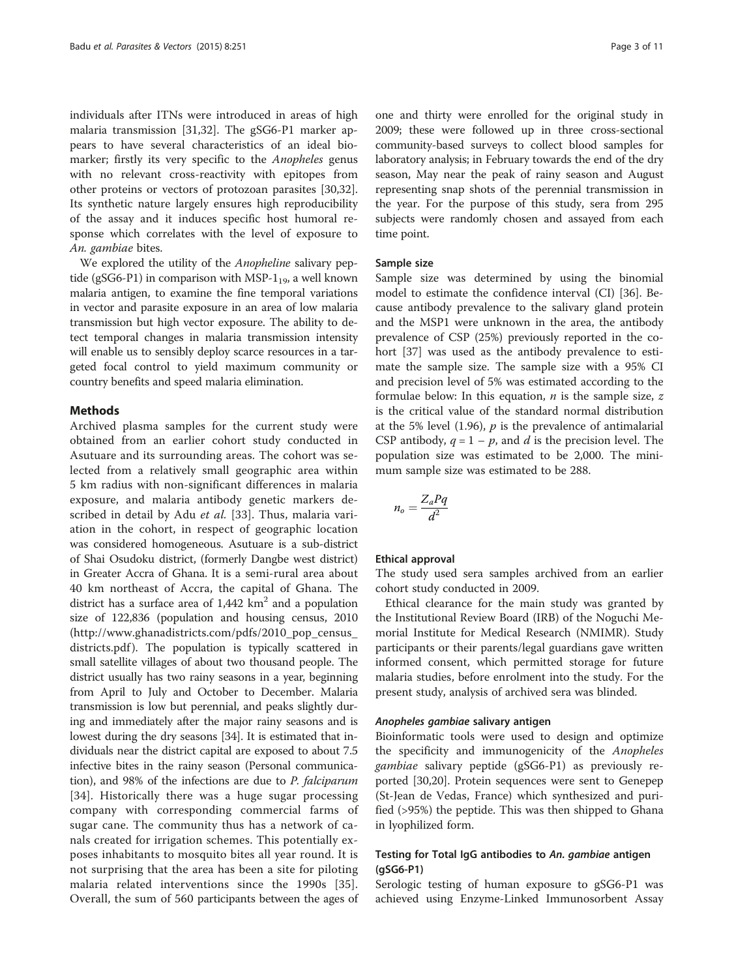individuals after ITNs were introduced in areas of high malaria transmission [[31,32\]](#page-9-0). The gSG6-P1 marker appears to have several characteristics of an ideal biomarker; firstly its very specific to the Anopheles genus with no relevant cross-reactivity with epitopes from other proteins or vectors of protozoan parasites [\[30,32](#page-9-0)]. Its synthetic nature largely ensures high reproducibility of the assay and it induces specific host humoral response which correlates with the level of exposure to An. gambiae bites.

We explored the utility of the *Anopheline* salivary peptide (gSG6-P1) in comparison with MSP- $1_{19}$ , a well known malaria antigen, to examine the fine temporal variations in vector and parasite exposure in an area of low malaria transmission but high vector exposure. The ability to detect temporal changes in malaria transmission intensity will enable us to sensibly deploy scarce resources in a targeted focal control to yield maximum community or country benefits and speed malaria elimination.

#### Methods

Archived plasma samples for the current study were obtained from an earlier cohort study conducted in Asutuare and its surrounding areas. The cohort was selected from a relatively small geographic area within 5 km radius with non-significant differences in malaria exposure, and malaria antibody genetic markers de-scribed in detail by Adu et al. [[33\]](#page-9-0). Thus, malaria variation in the cohort, in respect of geographic location was considered homogeneous. Asutuare is a sub-district of Shai Osudoku district, (formerly Dangbe west district) in Greater Accra of Ghana. It is a semi-rural area about 40 km northeast of Accra, the capital of Ghana. The district has a surface area of  $1,442 \text{ km}^2$  and a population size of 122,836 (population and housing census, 2010 ([http://www.ghanadistricts.com/pdfs/2010\\_pop\\_census\\_](http://www.ghanadistricts.com/pdfs/2010_pop_census_districts.pdf) [districts.pdf](http://www.ghanadistricts.com/pdfs/2010_pop_census_districts.pdf)). The population is typically scattered in small satellite villages of about two thousand people. The district usually has two rainy seasons in a year, beginning from April to July and October to December. Malaria transmission is low but perennial, and peaks slightly during and immediately after the major rainy seasons and is lowest during the dry seasons [\[34](#page-10-0)]. It is estimated that individuals near the district capital are exposed to about 7.5 infective bites in the rainy season (Personal communication), and 98% of the infections are due to P. falciparum [[34](#page-10-0)]. Historically there was a huge sugar processing company with corresponding commercial farms of sugar cane. The community thus has a network of canals created for irrigation schemes. This potentially exposes inhabitants to mosquito bites all year round. It is not surprising that the area has been a site for piloting malaria related interventions since the 1990s [[35](#page-10-0)]. Overall, the sum of 560 participants between the ages of

one and thirty were enrolled for the original study in 2009; these were followed up in three cross-sectional community-based surveys to collect blood samples for laboratory analysis; in February towards the end of the dry season, May near the peak of rainy season and August representing snap shots of the perennial transmission in the year. For the purpose of this study, sera from 295 subjects were randomly chosen and assayed from each time point.

#### Sample size

Sample size was determined by using the binomial model to estimate the confidence interval (CI) [[36\]](#page-10-0). Because antibody prevalence to the salivary gland protein and the MSP1 were unknown in the area, the antibody prevalence of CSP (25%) previously reported in the cohort [[37\]](#page-10-0) was used as the antibody prevalence to estimate the sample size. The sample size with a 95% CI and precision level of 5% was estimated according to the formulae below: In this equation,  $n$  is the sample size,  $z$ is the critical value of the standard normal distribution at the 5% level (1.96),  $p$  is the prevalence of antimalarial CSP antibody,  $q = 1 - p$ , and d is the precision level. The population size was estimated to be 2,000. The minimum sample size was estimated to be 288.

$$
n_o = \frac{Z_a P q}{d^2}
$$

#### Ethical approval

The study used sera samples archived from an earlier cohort study conducted in 2009.

Ethical clearance for the main study was granted by the Institutional Review Board (IRB) of the Noguchi Memorial Institute for Medical Research (NMIMR). Study participants or their parents/legal guardians gave written informed consent, which permitted storage for future malaria studies, before enrolment into the study. For the present study, analysis of archived sera was blinded.

#### Anopheles gambiae salivary antigen

Bioinformatic tools were used to design and optimize the specificity and immunogenicity of the Anopheles gambiae salivary peptide (gSG6-P1) as previously reported [\[30,20](#page-9-0)]. Protein sequences were sent to Genepep (St-Jean de Vedas, France) which synthesized and purified (>95%) the peptide. This was then shipped to Ghana in lyophilized form.

## Testing for Total IgG antibodies to An. gambiae antigen (gSG6-P1)

Serologic testing of human exposure to gSG6-P1 was achieved using Enzyme-Linked Immunosorbent Assay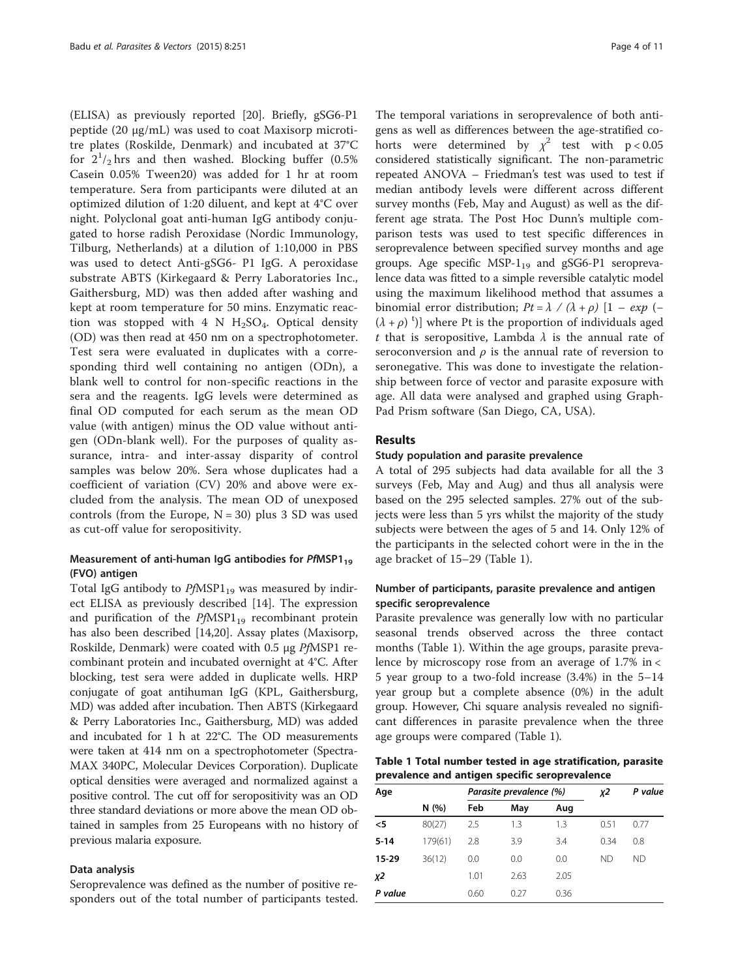<span id="page-3-0"></span>(ELISA) as previously reported [[20\]](#page-9-0). Briefly, gSG6-P1 peptide (20 μg/mL) was used to coat Maxisorp microtitre plates (Roskilde, Denmark) and incubated at 37°C for  $2^1/2$  hrs and then washed. Blocking buffer (0.5%) Casein 0.05% Tween20) was added for 1 hr at room temperature. Sera from participants were diluted at an optimized dilution of 1:20 diluent, and kept at 4°C over night. Polyclonal goat anti-human IgG antibody conjugated to horse radish Peroxidase (Nordic Immunology, Tilburg, Netherlands) at a dilution of 1:10,000 in PBS was used to detect Anti-gSG6- P1 IgG. A peroxidase substrate ABTS (Kirkegaard & Perry Laboratories Inc., Gaithersburg, MD) was then added after washing and kept at room temperature for 50 mins. Enzymatic reaction was stopped with 4 N  $H_2SO_4$ . Optical density (OD) was then read at 450 nm on a spectrophotometer. Test sera were evaluated in duplicates with a corresponding third well containing no antigen (ODn), a blank well to control for non-specific reactions in the sera and the reagents. IgG levels were determined as final OD computed for each serum as the mean OD value (with antigen) minus the OD value without antigen (ODn-blank well). For the purposes of quality assurance, intra- and inter-assay disparity of control samples was below 20%. Sera whose duplicates had a coefficient of variation (CV) 20% and above were excluded from the analysis. The mean OD of unexposed controls (from the Europe,  $N = 30$ ) plus 3 SD was used as cut-off value for seropositivity.

## Measurement of anti-human IgG antibodies for  $PfMSP1_{19}$ (FVO) antigen

Total IgG antibody to  $PfMSP1_{19}$  was measured by indirect ELISA as previously described [[14\]](#page-9-0). The expression and purification of the  $PfMSP1_{19}$  recombinant protein has also been described [[14](#page-9-0),[20](#page-9-0)]. Assay plates (Maxisorp, Roskilde, Denmark) were coated with 0.5 μg PfMSP1 recombinant protein and incubated overnight at 4°C. After blocking, test sera were added in duplicate wells. HRP conjugate of goat antihuman IgG (KPL, Gaithersburg, MD) was added after incubation. Then ABTS (Kirkegaard & Perry Laboratories Inc., Gaithersburg, MD) was added and incubated for 1 h at 22°C. The OD measurements were taken at 414 nm on a spectrophotometer (Spectra-MAX 340PC, Molecular Devices Corporation). Duplicate optical densities were averaged and normalized against a positive control. The cut off for seropositivity was an OD three standard deviations or more above the mean OD obtained in samples from 25 Europeans with no history of previous malaria exposure.

#### Data analysis

Seroprevalence was defined as the number of positive responders out of the total number of participants tested.

The temporal variations in seroprevalence of both antigens as well as differences between the age-stratified cohorts were determined by  $\chi^2$  test with p < 0.05 considered statistically significant. The non-parametric repeated ANOVA – Friedman's test was used to test if median antibody levels were different across different survey months (Feb, May and August) as well as the different age strata. The Post Hoc Dunn's multiple comparison tests was used to test specific differences in seroprevalence between specified survey months and age groups. Age specific  $MSP-1_{19}$  and gSG6-P1 seroprevalence data was fitted to a simple reversible catalytic model using the maximum likelihood method that assumes a binomial error distribution;  $Pt = \lambda / (\lambda + \rho) [1 - exp (-\lambda)]$  $(\lambda + \rho)^t$ ] where Pt is the proportion of individuals aged t that is seropositive, Lambda  $\lambda$  is the annual rate of seroconversion and  $\rho$  is the annual rate of reversion to seronegative. This was done to investigate the relationship between force of vector and parasite exposure with age. All data were analysed and graphed using Graph-Pad Prism software (San Diego, CA, USA).

#### Results

#### Study population and parasite prevalence

A total of 295 subjects had data available for all the 3 surveys (Feb, May and Aug) and thus all analysis were based on the 295 selected samples. 27% out of the subjects were less than 5 yrs whilst the majority of the study subjects were between the ages of 5 and 14. Only 12% of the participants in the selected cohort were in the in the age bracket of 15–29 (Table 1).

## Number of participants, parasite prevalence and antigen specific seroprevalence

Parasite prevalence was generally low with no particular seasonal trends observed across the three contact months (Table 1). Within the age groups, parasite prevalence by microscopy rose from an average of 1.7% in < 5 year group to a two-fold increase (3.4%) in the 5–14 year group but a complete absence (0%) in the adult group. However, Chi square analysis revealed no significant differences in parasite prevalence when the three age groups were compared (Table 1).

| Table 1 Total number tested in age stratification, parasite |  |  |  |  |  |
|-------------------------------------------------------------|--|--|--|--|--|
| prevalence and antigen specific seroprevalence              |  |  |  |  |  |

|         | Parasite prevalence (%) |      |      | χ2   | P value |
|---------|-------------------------|------|------|------|---------|
| N(%)    | Feb                     | May  | Aug  |      |         |
| 80(27)  | 2.5                     | 1.3  | 1.3  | 0.51 | 0.77    |
| 179(61) | 2.8                     | 3.9  | 3.4  | 0.34 | 0.8     |
| 36(12)  | 0.0                     | 0.0  | 0.0  | ND.  | ND.     |
|         | 1.01                    | 2.63 | 2.05 |      |         |
|         | 0.60                    | 0.27 | 0.36 |      |         |
|         |                         |      |      |      |         |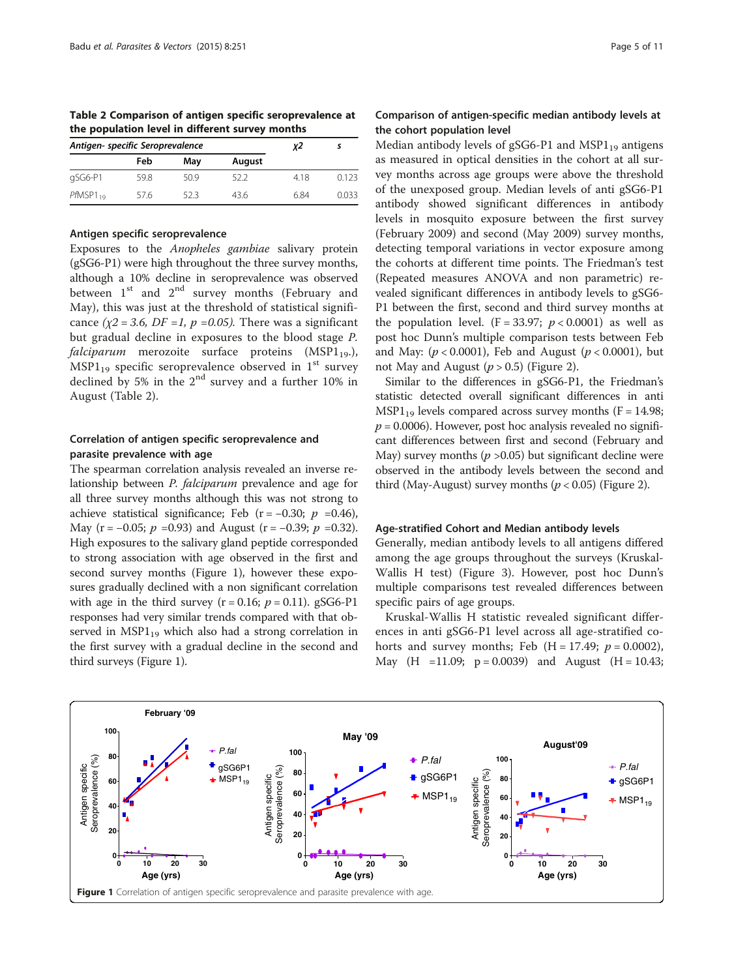<span id="page-4-0"></span>Table 2 Comparison of antigen specific seroprevalence at the population level in different survey months

| Antigen- specific Seroprevalence |      |     | χ2     |      |       |
|----------------------------------|------|-----|--------|------|-------|
|                                  | Feb  | May | August |      |       |
| gSG6-P1                          | 59.8 | 509 | 52.2   | 4.18 | 0.123 |
| $PHMSP1_{19}$                    | 57.6 | 523 | 436    | 6.84 | 0.033 |

#### Antigen specific seroprevalence

Exposures to the Anopheles gambiae salivary protein (gSG6-P1) were high throughout the three survey months, although a 10% decline in seroprevalence was observed between  $1<sup>st</sup>$  and  $2<sup>nd</sup>$  survey months (February and May), this was just at the threshold of statistical significance ( $\chi$ 2 = 3.6, DF = 1, p = 0.05). There was a significant but gradual decline in exposures to the blood stage P.  $falciparum$  merozoite surface proteins (MSP1<sub>19</sub>.),  $MSP1_{19}$  specific seroprevalence observed in 1<sup>st</sup> survey declined by 5% in the 2nd survey and a further 10% in August (Table 2).

## Correlation of antigen specific seroprevalence and parasite prevalence with age

The spearman correlation analysis revealed an inverse relationship between P. falciparum prevalence and age for all three survey months although this was not strong to achieve statistical significance; Feb ( $r = -0.30$ ;  $p = 0.46$ ), May (r =  $-0.05$ ;  $p = 0.93$ ) and August (r =  $-0.39$ ;  $p = 0.32$ ). High exposures to the salivary gland peptide corresponded to strong association with age observed in the first and second survey months (Figure 1), however these exposures gradually declined with a non significant correlation with age in the third survey ( $r = 0.16$ ;  $p = 0.11$ ). gSG6-P1 responses had very similar trends compared with that observed in  $MSP1_{19}$  which also had a strong correlation in the first survey with a gradual decline in the second and third surveys (Figure 1).

## Comparison of antigen-specific median antibody levels at the cohort population level

Median antibody levels of gSG6-P1 and MSP1 $_{19}$  antigens as measured in optical densities in the cohort at all survey months across age groups were above the threshold of the unexposed group. Median levels of anti gSG6-P1 antibody showed significant differences in antibody levels in mosquito exposure between the first survey (February 2009) and second (May 2009) survey months, detecting temporal variations in vector exposure among the cohorts at different time points. The Friedman's test (Repeated measures ANOVA and non parametric) revealed significant differences in antibody levels to gSG6- P1 between the first, second and third survey months at the population level.  $(F = 33.97; p < 0.0001)$  as well as post hoc Dunn's multiple comparison tests between Feb and May:  $(p < 0.0001)$ , Feb and August  $(p < 0.0001)$ , but not May and August  $(p > 0.5)$  (Figure [2\)](#page-5-0).

Similar to the differences in gSG6-P1, the Friedman's statistic detected overall significant differences in anti  $MSP1_{19}$  levels compared across survey months (F = 14.98;  $p = 0.0006$ ). However, post hoc analysis revealed no significant differences between first and second (February and May) survey months ( $p > 0.05$ ) but significant decline were observed in the antibody levels between the second and third (May-August) survey months ( $p < 0.05$ ) (Figure [2](#page-5-0)).

#### Age-stratified Cohort and Median antibody levels

Generally, median antibody levels to all antigens differed among the age groups throughout the surveys (Kruskal-Wallis H test) (Figure [3](#page-5-0)). However, post hoc Dunn's multiple comparisons test revealed differences between specific pairs of age groups.

Kruskal-Wallis H statistic revealed significant differences in anti gSG6-P1 level across all age-stratified cohorts and survey months; Feb  $(H = 17.49; p = 0.0002)$ , May  $(H =11.09; p = 0.0039)$  and August  $(H = 10.43;$ 

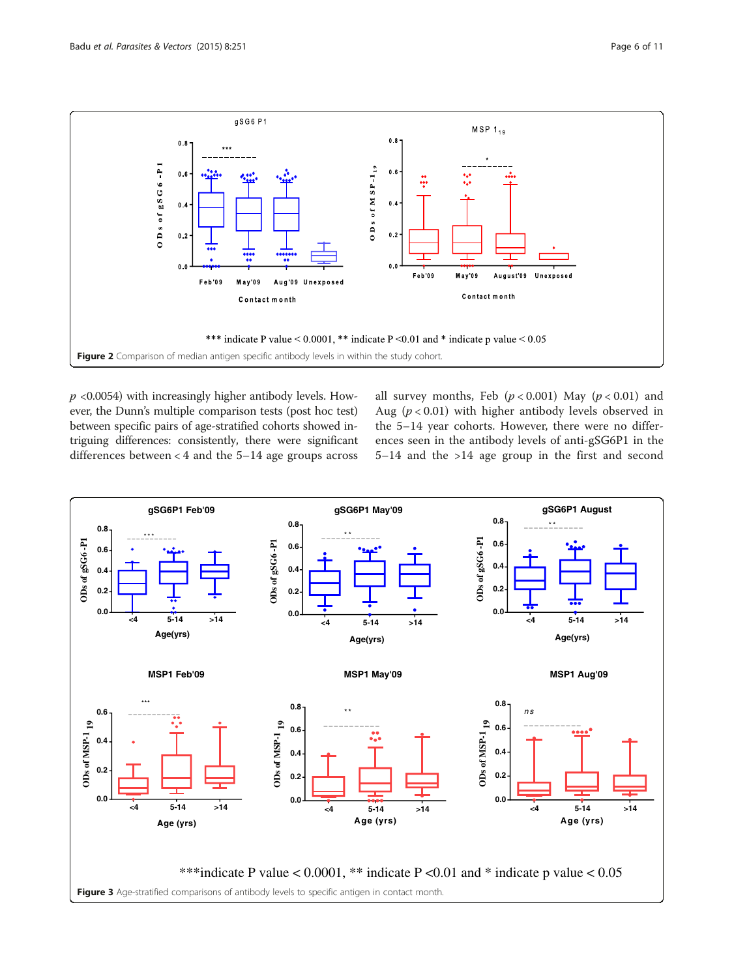<span id="page-5-0"></span>

 $p$  <0.0054) with increasingly higher antibody levels. However, the Dunn's multiple comparison tests (post hoc test) between specific pairs of age-stratified cohorts showed intriguing differences: consistently, there were significant differences between < 4 and the 5–14 age groups across

all survey months, Feb  $(p < 0.001)$  May  $(p < 0.01)$  and Aug ( $p < 0.01$ ) with higher antibody levels observed in the 5–14 year cohorts. However, there were no differences seen in the antibody levels of anti-gSG6P1 in the 5–14 and the >14 age group in the first and second

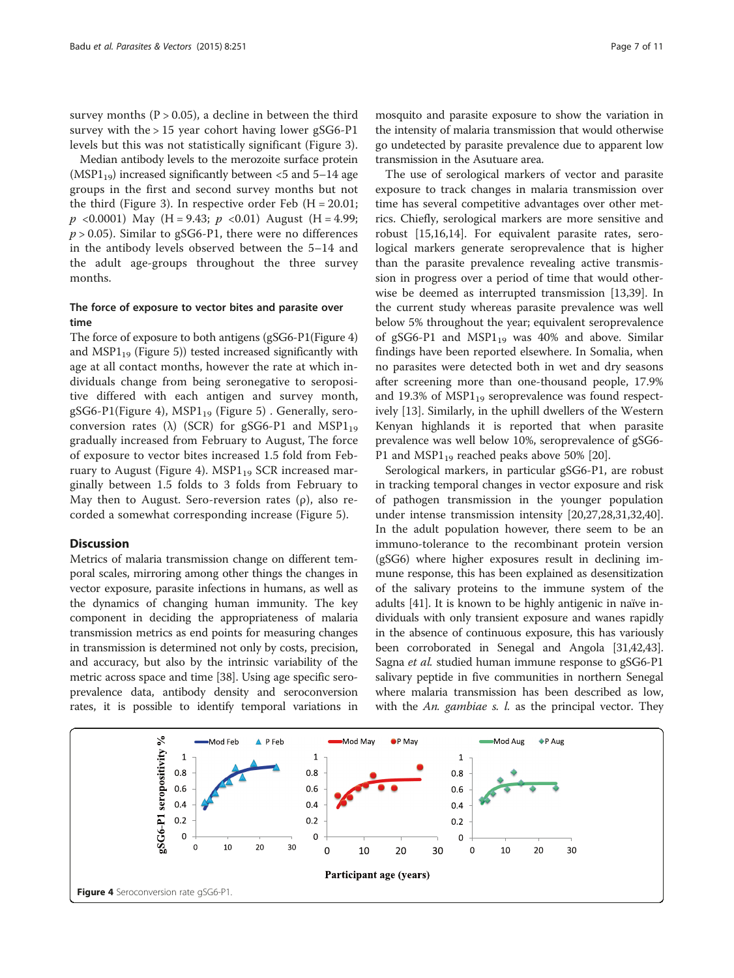survey months  $(P > 0.05)$ , a decline in between the third survey with the  $> 15$  year cohort having lower gSG6-P1 levels but this was not statistically significant (Figure [3](#page-5-0)).

Median antibody levels to the merozoite surface protein (MSP1<sub>19</sub>) increased significantly between  $\lt$ 5 and 5–14 age groups in the first and second survey months but not the third (Figure [3](#page-5-0)). In respective order Feb  $(H = 20.01;$  $p \le 0.0001$ ) May (H = 9.43;  $p \le 0.01$ ) August (H = 4.99;  $p > 0.05$ ). Similar to gSG6-P1, there were no differences in the antibody levels observed between the 5–14 and the adult age-groups throughout the three survey months.

## The force of exposure to vector bites and parasite over time

The force of exposure to both antigens (gSG6-P1(Figure 4) and  $MSP1_{19}$  (Figure [5](#page-7-0))) tested increased significantly with age at all contact months, however the rate at which individuals change from being seronegative to seropositive differed with each antigen and survey month, gSG6-P1(Figure 4), MSP1<sub>19</sub> (Figure [5\)](#page-7-0). Generally, seroconversion rates ( $\lambda$ ) (SCR) for gSG6-P1 and MSP1<sub>19</sub> gradually increased from February to August, The force of exposure to vector bites increased 1.5 fold from February to August (Figure 4).  $MSP1_{19}$  SCR increased marginally between 1.5 folds to 3 folds from February to May then to August. Sero-reversion rates  $(\rho)$ , also recorded a somewhat corresponding increase (Figure [5\)](#page-7-0).

#### **Discussion**

Metrics of malaria transmission change on different temporal scales, mirroring among other things the changes in vector exposure, parasite infections in humans, as well as the dynamics of changing human immunity. The key component in deciding the appropriateness of malaria transmission metrics as end points for measuring changes in transmission is determined not only by costs, precision, and accuracy, but also by the intrinsic variability of the metric across space and time [[38](#page-10-0)]. Using age specific seroprevalence data, antibody density and seroconversion rates, it is possible to identify temporal variations in mosquito and parasite exposure to show the variation in the intensity of malaria transmission that would otherwise go undetected by parasite prevalence due to apparent low transmission in the Asutuare area.

The use of serological markers of vector and parasite exposure to track changes in malaria transmission over time has several competitive advantages over other metrics. Chiefly, serological markers are more sensitive and robust [[15,16,14\]](#page-9-0). For equivalent parasite rates, serological markers generate seroprevalence that is higher than the parasite prevalence revealing active transmission in progress over a period of time that would otherwise be deemed as interrupted transmission [[13](#page-9-0),[39](#page-10-0)]. In the current study whereas parasite prevalence was well below 5% throughout the year; equivalent seroprevalence of gSG6-P1 and  $MSP1_{19}$  was 40% and above. Similar findings have been reported elsewhere. In Somalia, when no parasites were detected both in wet and dry seasons after screening more than one-thousand people, 17.9% and 19.3% of  $MSP1_{19}$  seroprevalence was found respectively [\[13\]](#page-9-0). Similarly, in the uphill dwellers of the Western Kenyan highlands it is reported that when parasite prevalence was well below 10%, seroprevalence of gSG6- P1 and MSP1 $_{19}$  reached peaks above 50% [[20](#page-9-0)].

Serological markers, in particular gSG6-P1, are robust in tracking temporal changes in vector exposure and risk of pathogen transmission in the younger population under intense transmission intensity [[20](#page-9-0),[27](#page-9-0),[28](#page-9-0),[31,32](#page-9-0)[,40](#page-10-0)]. In the adult population however, there seem to be an immuno-tolerance to the recombinant protein version (gSG6) where higher exposures result in declining immune response, this has been explained as desensitization of the salivary proteins to the immune system of the adults [[41\]](#page-10-0). It is known to be highly antigenic in naïve individuals with only transient exposure and wanes rapidly in the absence of continuous exposure, this has variously been corroborated in Senegal and Angola [\[31](#page-9-0)[,42,43](#page-10-0)]. Sagna et al. studied human immune response to gSG6-P1 salivary peptide in five communities in northern Senegal where malaria transmission has been described as low, with the An. gambiae s.  $l$ . as the principal vector. They

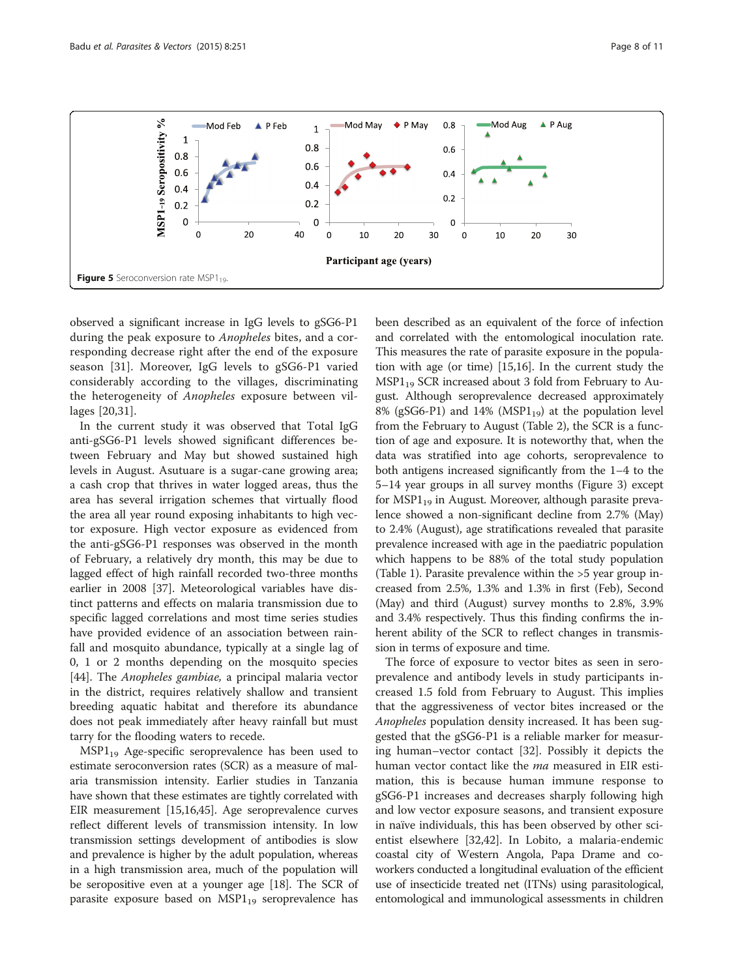<span id="page-7-0"></span>

observed a significant increase in IgG levels to gSG6-P1 during the peak exposure to Anopheles bites, and a corresponding decrease right after the end of the exposure season [[31\]](#page-9-0). Moreover, IgG levels to gSG6-P1 varied considerably according to the villages, discriminating the heterogeneity of Anopheles exposure between villages [\[20,31](#page-9-0)].

In the current study it was observed that Total IgG anti-gSG6-P1 levels showed significant differences between February and May but showed sustained high levels in August. Asutuare is a sugar-cane growing area; a cash crop that thrives in water logged areas, thus the area has several irrigation schemes that virtually flood the area all year round exposing inhabitants to high vector exposure. High vector exposure as evidenced from the anti-gSG6-P1 responses was observed in the month of February, a relatively dry month, this may be due to lagged effect of high rainfall recorded two-three months earlier in 2008 [[37\]](#page-10-0). Meteorological variables have distinct patterns and effects on malaria transmission due to specific lagged correlations and most time series studies have provided evidence of an association between rainfall and mosquito abundance, typically at a single lag of 0, 1 or 2 months depending on the mosquito species [[44\]](#page-10-0). The Anopheles gambiae, a principal malaria vector in the district, requires relatively shallow and transient breeding aquatic habitat and therefore its abundance does not peak immediately after heavy rainfall but must tarry for the flooding waters to recede.

 $MSP1_{19}$  Age-specific seroprevalence has been used to estimate seroconversion rates (SCR) as a measure of malaria transmission intensity. Earlier studies in Tanzania have shown that these estimates are tightly correlated with EIR measurement [[15,16](#page-9-0)[,45\]](#page-10-0). Age seroprevalence curves reflect different levels of transmission intensity. In low transmission settings development of antibodies is slow and prevalence is higher by the adult population, whereas in a high transmission area, much of the population will be seropositive even at a younger age [[18](#page-9-0)]. The SCR of parasite exposure based on  $MSP1_{19}$  seroprevalence has

been described as an equivalent of the force of infection and correlated with the entomological inoculation rate. This measures the rate of parasite exposure in the population with age (or time) [\[15,16\]](#page-9-0). In the current study the MSP1<sub>19</sub> SCR increased about 3 fold from February to August. Although seroprevalence decreased approximately 8% (gSG6-P1) and 14% (MSP1 $_{19}$ ) at the population level from the February to August (Table [2\)](#page-4-0), the SCR is a function of age and exposure. It is noteworthy that, when the data was stratified into age cohorts, seroprevalence to both antigens increased significantly from the 1–4 to the 5–14 year groups in all survey months (Figure [3\)](#page-5-0) except for  $MSPI_{19}$  in August. Moreover, although parasite prevalence showed a non-significant decline from 2.7% (May) to 2.4% (August), age stratifications revealed that parasite prevalence increased with age in the paediatric population which happens to be 88% of the total study population (Table [1](#page-3-0)). Parasite prevalence within the >5 year group increased from 2.5%, 1.3% and 1.3% in first (Feb), Second (May) and third (August) survey months to 2.8%, 3.9% and 3.4% respectively. Thus this finding confirms the inherent ability of the SCR to reflect changes in transmission in terms of exposure and time.

The force of exposure to vector bites as seen in seroprevalence and antibody levels in study participants increased 1.5 fold from February to August. This implies that the aggressiveness of vector bites increased or the Anopheles population density increased. It has been suggested that the gSG6-P1 is a reliable marker for measuring human–vector contact [[32](#page-9-0)]. Possibly it depicts the human vector contact like the *ma* measured in EIR estimation, this is because human immune response to gSG6-P1 increases and decreases sharply following high and low vector exposure seasons, and transient exposure in naïve individuals, this has been observed by other scientist elsewhere [[32](#page-9-0),[42](#page-10-0)]. In Lobito, a malaria-endemic coastal city of Western Angola, Papa Drame and coworkers conducted a longitudinal evaluation of the efficient use of insecticide treated net (ITNs) using parasitological, entomological and immunological assessments in children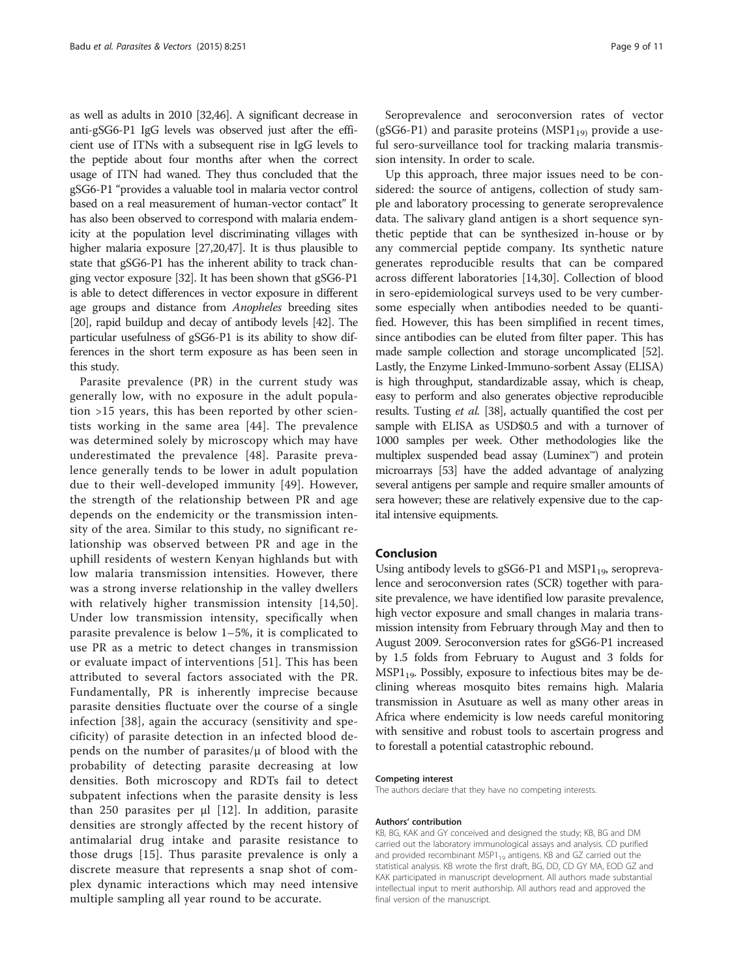as well as adults in 2010 [\[32,](#page-9-0)[46](#page-10-0)]. A significant decrease in anti-gSG6-P1 IgG levels was observed just after the efficient use of ITNs with a subsequent rise in IgG levels to the peptide about four months after when the correct usage of ITN had waned. They thus concluded that the gSG6-P1 "provides a valuable tool in malaria vector control based on a real measurement of human-vector contact" It has also been observed to correspond with malaria endemicity at the population level discriminating villages with higher malaria exposure [\[27,20](#page-9-0)[,47\]](#page-10-0). It is thus plausible to state that gSG6-P1 has the inherent ability to track changing vector exposure [\[32](#page-9-0)]. It has been shown that gSG6-P1 is able to detect differences in vector exposure in different age groups and distance from Anopheles breeding sites [[20](#page-9-0)], rapid buildup and decay of antibody levels [[42](#page-10-0)]. The particular usefulness of gSG6-P1 is its ability to show differences in the short term exposure as has been seen in this study.

Parasite prevalence (PR) in the current study was generally low, with no exposure in the adult population >15 years, this has been reported by other scientists working in the same area [[44](#page-10-0)]. The prevalence was determined solely by microscopy which may have underestimated the prevalence [[48\]](#page-10-0). Parasite prevalence generally tends to be lower in adult population due to their well-developed immunity [[49](#page-10-0)]. However, the strength of the relationship between PR and age depends on the endemicity or the transmission intensity of the area. Similar to this study, no significant relationship was observed between PR and age in the uphill residents of western Kenyan highlands but with low malaria transmission intensities. However, there was a strong inverse relationship in the valley dwellers with relatively higher transmission intensity [\[14,](#page-9-0)[50](#page-10-0)]. Under low transmission intensity, specifically when parasite prevalence is below 1–5%, it is complicated to use PR as a metric to detect changes in transmission or evaluate impact of interventions [[51\]](#page-10-0). This has been attributed to several factors associated with the PR. Fundamentally, PR is inherently imprecise because parasite densities fluctuate over the course of a single infection [\[38\]](#page-10-0), again the accuracy (sensitivity and specificity) of parasite detection in an infected blood depends on the number of parasites/ $\mu$  of blood with the probability of detecting parasite decreasing at low densities. Both microscopy and RDTs fail to detect subpatent infections when the parasite density is less than 250 parasites per  $\mu$ l [[12\]](#page-9-0). In addition, parasite densities are strongly affected by the recent history of antimalarial drug intake and parasite resistance to those drugs [[15](#page-9-0)]. Thus parasite prevalence is only a discrete measure that represents a snap shot of complex dynamic interactions which may need intensive multiple sampling all year round to be accurate.

Seroprevalence and seroconversion rates of vector (gSG6-P1) and parasite proteins ( $MSP1_{19}$ ) provide a useful sero-surveillance tool for tracking malaria transmission intensity. In order to scale.

Up this approach, three major issues need to be considered: the source of antigens, collection of study sample and laboratory processing to generate seroprevalence data. The salivary gland antigen is a short sequence synthetic peptide that can be synthesized in-house or by any commercial peptide company. Its synthetic nature generates reproducible results that can be compared across different laboratories [[14,30\]](#page-9-0). Collection of blood in sero-epidemiological surveys used to be very cumbersome especially when antibodies needed to be quantified. However, this has been simplified in recent times, since antibodies can be eluted from filter paper. This has made sample collection and storage uncomplicated [\[52](#page-10-0)]. Lastly, the Enzyme Linked-Immuno-sorbent Assay (ELISA) is high throughput, standardizable assay, which is cheap, easy to perform and also generates objective reproducible results. Tusting et al. [\[38\]](#page-10-0), actually quantified the cost per sample with ELISA as USD\$0.5 and with a turnover of 1000 samples per week. Other methodologies like the multiplex suspended bead assay (Luminex™) and protein microarrays [\[53](#page-10-0)] have the added advantage of analyzing several antigens per sample and require smaller amounts of sera however; these are relatively expensive due to the capital intensive equipments.

#### Conclusion

Using antibody levels to gSG6-P1 and  $MSP1_{19}$ , seroprevalence and seroconversion rates (SCR) together with parasite prevalence, we have identified low parasite prevalence, high vector exposure and small changes in malaria transmission intensity from February through May and then to August 2009. Seroconversion rates for gSG6-P1 increased by 1.5 folds from February to August and 3 folds for MSP1<sub>19</sub>. Possibly, exposure to infectious bites may be declining whereas mosquito bites remains high. Malaria transmission in Asutuare as well as many other areas in Africa where endemicity is low needs careful monitoring with sensitive and robust tools to ascertain progress and to forestall a potential catastrophic rebound.

#### Competing interest

The authors declare that they have no competing interests.

#### Authors' contribution

KB, BG, KAK and GY conceived and designed the study; KB, BG and DM carried out the laboratory immunological assays and analysis. CD purified and provided recombinant MSP1 $_{19}$  antigens. KB and GZ carried out the statistical analysis. KB wrote the first draft, BG, DD, CD GY MA, EOD GZ and KAK participated in manuscript development. All authors made substantial intellectual input to merit authorship. All authors read and approved the final version of the manuscript.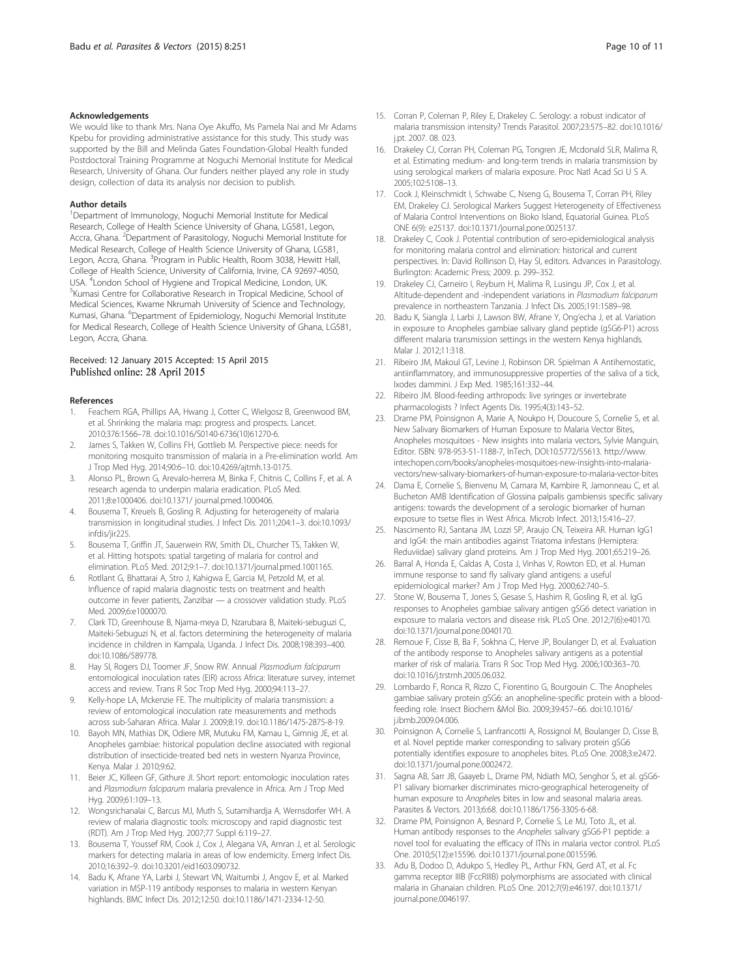#### <span id="page-9-0"></span>Acknowledgements

We would like to thank Mrs. Nana Oye Akuffo, Ms Pamela Nai and Mr Adams Kpebu for providing administrative assistance for this study. This study was supported by the Bill and Melinda Gates Foundation-Global Health funded Postdoctoral Training Programme at Noguchi Memorial Institute for Medical Research, University of Ghana. Our funders neither played any role in study design, collection of data its analysis nor decision to publish.

#### Author details

<sup>1</sup>Department of Immunology, Noguchi Memorial Institute for Medical Research, College of Health Science University of Ghana, LG581, Legon, Accra, Ghana. <sup>2</sup>Department of Parasitology, Noguchi Memorial Institute for Medical Research, College of Health Science University of Ghana, LG581, Legon, Accra, Ghana. <sup>3</sup>Program in Public Health, Room 3038, Hewitt Hall, College of Health Science, University of California, Irvine, CA 92697-4050, USA. <sup>4</sup>London School of Hygiene and Tropical Medicine, London, UK.<br><sup>5</sup>Kumasi Centre for Collaborative Besearch in Tropical Medicine, Scho <sup>5</sup>Kumasi Centre for Collaborative Research in Tropical Medicine, School of Medical Sciences, Kwame Nkrumah University of Science and Technology, Kumasi, Ghana. <sup>6</sup>Department of Epidemiology, Noguchi Memorial Institute for Medical Research, College of Health Science University of Ghana, LG581, Legon, Accra, Ghana.

#### Received: 12 January 2015 Accepted: 15 April 2015 Published online: 28 April 2015

#### References

- 1. Feachem RGA, Phillips AA, Hwang J, Cotter C, Wielgosz B, Greenwood BM, et al. Shrinking the malaria map: progress and prospects. Lancet. 2010;376:1566–78. doi:10.1016/S0140-6736(10)61270-6.
- 2. James S, Takken W, Collins FH, Gottlieb M. Perspective piece: needs for monitoring mosquito transmission of malaria in a Pre-elimination world. Am J Trop Med Hyg. 2014;90:6–10. doi:10.4269/ajtmh.13-0175.
- 3. Alonso PL, Brown G, Arevalo-herrera M, Binka F, Chitnis C, Collins F, et al. A research agenda to underpin malaria eradication. PLoS Med. 2011;8:e1000406. doi:10.1371/ journal.pmed.1000406.
- 4. Bousema T, Kreuels B, Gosling R. Adjusting for heterogeneity of malaria transmission in longitudinal studies. J Infect Dis. 2011;204:1–3. doi:10.1093/ infdis/jir225.
- 5. Bousema T, Griffin JT, Sauerwein RW, Smith DL, Churcher TS, Takken W, et al. Hitting hotspots: spatial targeting of malaria for control and elimination. PLoS Med. 2012;9:1–7. doi:10.1371/journal.pmed.1001165.
- 6. Rotllant G, Bhattarai A, Stro J, Kahigwa E, Garcia M, Petzold M, et al. Influence of rapid malaria diagnostic tests on treatment and health outcome in fever patients, Zanzibar — a crossover validation study. PLoS Med. 2009;6:e1000070.
- 7. Clark TD, Greenhouse B, Njama-meya D, Nzarubara B, Maiteki-sebuguzi C, Maiteki-Sebuguzi N, et al. factors determining the heterogeneity of malaria incidence in children in Kampala, Uganda. J Infect Dis. 2008;198:393–400. doi:10.1086/589778.
- 8. Hay SI, Rogers DJ, Toomer JF, Snow RW. Annual Plasmodium falciparum entomological inoculation rates (EIR) across Africa: literature survey, internet access and review. Trans R Soc Trop Med Hyg. 2000;94:113–27.
- 9. Kelly-hope LA, Mckenzie FE. The multiplicity of malaria transmission: a review of entomological inoculation rate measurements and methods across sub-Saharan Africa. Malar J. 2009;8:19. doi:10.1186/1475-2875-8-19.
- 10. Bayoh MN, Mathias DK, Odiere MR, Mutuku FM, Kamau L, Gimnig JE, et al. Anopheles gambiae: historical population decline associated with regional distribution of insecticide-treated bed nets in western Nyanza Province, Kenya. Malar J. 2010;9:62.
- 11. Beier JC, Killeen GF, Githure JI. Short report: entomologic inoculation rates and Plasmodium falciparum malaria prevalence in Africa. Am J Trop Med Hyg. 2009;61:109–13.
- 12. Wongsrichanalai C, Barcus MJ, Muth S, Sutamihardja A, Wernsdorfer WH. A review of malaria diagnostic tools: microscopy and rapid diagnostic test (RDT). Am J Trop Med Hyg. 2007;77 Suppl 6:119–27.
- 13. Bousema T, Youssef RM, Cook J, Cox J, Alegana VA, Amran J, et al. Serologic markers for detecting malaria in areas of low endemicity. Emerg Infect Dis. 2010;16:392–9. doi:10.3201/eid1603.090732.
- 14. Badu K, Afrane YA, Larbi J, Stewart VN, Waitumbi J, Angov E, et al. Marked variation in MSP-119 antibody responses to malaria in western Kenyan highlands. BMC Infect Dis. 2012;12:50. doi:10.1186/1471-2334-12-50.
- 15. Corran P, Coleman P, Riley E, Drakeley C. Serology: a robust indicator of malaria transmission intensity? Trends Parasitol. 2007;23:575–82. doi:10.1016/ j.pt. 2007. 08. 023.
- 16. Drakeley CJ, Corran PH, Coleman PG, Tongren JE, Mcdonald SLR, Malima R, et al. Estimating medium- and long-term trends in malaria transmission by using serological markers of malaria exposure. Proc Natl Acad Sci U S A. 2005;102:5108–13.
- 17. Cook J, Kleinschmidt I, Schwabe C, Nseng G, Bousema T, Corran PH, Riley EM, Drakeley CJ. Serological Markers Suggest Heterogeneity of Effectiveness of Malaria Control Interventions on Bioko Island, Equatorial Guinea. PLoS ONE 6(9): e25137. doi:10.1371/journal.pone.0025137.
- 18. Drakeley C, Cook J. Potential contribution of sero-epidemiological analysis for monitoring malaria control and elimination: historical and current perspectives. In: David Rollinson D, Hay SI, editors. Advances in Parasitology. Burlington: Academic Press; 2009. p. 299–352.
- 19. Drakeley CJ, Carneiro I, Reyburn H, Malima R, Lusingu JP, Cox J, et al. Altitude-dependent and -independent variations in Plasmodium falciparum prevalence in northeastern Tanzania. J Infect Dis. 2005;191:1589–98.
- 20. Badu K, Siangla J, Larbi J, Lawson BW, Afrane Y, Ong'echa J, et al. Variation in exposure to Anopheles gambiae salivary gland peptide (gSG6-P1) across different malaria transmission settings in the western Kenya highlands. Malar J. 2012;11:318.
- 21. Ribeiro JM, Makoul GT, Levine J, Robinson DR. Spielman A Antihemostatic, antiinflammatory, and immunosuppressive properties of the saliva of a tick, Ixodes dammini. J Exp Med. 1985;161:332–44.
- 22. Ribeiro JM. Blood-feeding arthropods: live syringes or invertebrate pharmacologists ? Infect Agents Dis. 1995;4(3):143–52.
- 23. Drame PM, Poinsignon A, Marie A, Noukpo H, Doucoure S, Cornelie S, et al. New Salivary Biomarkers of Human Exposure to Malaria Vector Bites, Anopheles mosquitoes - New insights into malaria vectors, Sylvie Manguin, Editor. ISBN: 978-953-51-1188-7, InTech, DOI:10.5772/55613. [http://www.](http://www.intechopen.com/books/anopheles-mosquitoes-new-insights-into-malaria-vectors/new-salivary-biomarkers-of-human-exposure-to-malaria-vector-bites) [intechopen.com/books/anopheles-mosquitoes-new-insights-into-malaria](http://www.intechopen.com/books/anopheles-mosquitoes-new-insights-into-malaria-vectors/new-salivary-biomarkers-of-human-exposure-to-malaria-vector-bites)[vectors/new-salivary-biomarkers-of-human-exposure-to-malaria-vector-bites](http://www.intechopen.com/books/anopheles-mosquitoes-new-insights-into-malaria-vectors/new-salivary-biomarkers-of-human-exposure-to-malaria-vector-bites)
- 24. Dama E, Cornelie S, Bienvenu M, Camara M, Kambire R, Jamonneau C, et al. Bucheton AMB Identification of Glossina palpalis gambiensis specific salivary antigens: towards the development of a serologic biomarker of human exposure to tsetse flies in West Africa. Microb Infect. 2013;15:416–27.
- 25. Nascimento RJ, Santana JM, Lozzi SP, Araujo CN, Teixeira AR. Human IgG1 and IgG4: the main antibodies against Triatoma infestans (Hemiptera: Reduviidae) salivary gland proteins. Am J Trop Med Hyg. 2001;65:219–26.
- 26. Barral A, Honda E, Caldas A, Costa J, Vinhas V, Rowton ED, et al. Human immune response to sand fly salivary gland antigens: a useful epidemiological marker? Am J Trop Med Hyg. 2000;62:740–5.
- 27. Stone W, Bousema T, Jones S, Gesase S, Hashim R, Gosling R, et al. IgG responses to Anopheles gambiae salivary antigen gSG6 detect variation in exposure to malaria vectors and disease risk. PLoS One. 2012;7(6):e40170. doi:10.1371/journal.pone.0040170.
- 28. Remoue F, Cisse B, Ba F, Sokhna C, Herve JP, Boulanger D, et al. Evaluation of the antibody response to Anopheles salivary antigens as a potential marker of risk of malaria. Trans R Soc Trop Med Hyg. 2006;100:363–70. doi:10.1016/j.trstmh.2005.06.032.
- 29. Lombardo F, Ronca R, Rizzo C, Fiorentino G, Bourgouin C. The Anopheles gambiae salivary protein gSG6: an anopheline-specific protein with a bloodfeeding role. Insect Biochem &Mol Bio. 2009;39:457–66. doi:10.1016/ j.ibmb.2009.04.006.
- 30. Poinsignon A, Cornelie S, Lanfrancotti A, Rossignol M, Boulanger D, Cisse B, et al. Novel peptide marker corresponding to salivary protein gSG6 potentially identifies exposure to anopheles bites. PLoS One. 2008;3:e2472. doi:10.1371/journal.pone.0002472.
- 31. Sagna AB, Sarr JB, Gaayeb L, Drame PM, Ndiath MO, Senghor S, et al. gSG6- P1 salivary biomarker discriminates micro-geographical heterogeneity of human exposure to Anopheles bites in low and seasonal malaria areas. Parasites & Vectors. 2013;6:68. doi:10.1186/1756-3305-6-68.
- 32. Drame PM, Poinsignon A, Besnard P, Cornelie S, Le MJ, Toto JL, et al. Human antibody responses to the Anopheles salivary gSG6-P1 peptide: a novel tool for evaluating the efficacy of ITNs in malaria vector control. PLoS One. 2010;5(12):e15596. doi:10.1371/journal.pone.0015596.
- 33. Adu B, Dodoo D, Adukpo S, Hedley PL, Arthur FKN, Gerd AT, et al. Fc gamma receptor IIIB (FccRIIIB) polymorphisms are associated with clinical malaria in Ghanaian children. PLoS One. 2012;7(9):e46197. doi:10.1371/ journal.pone.0046197.